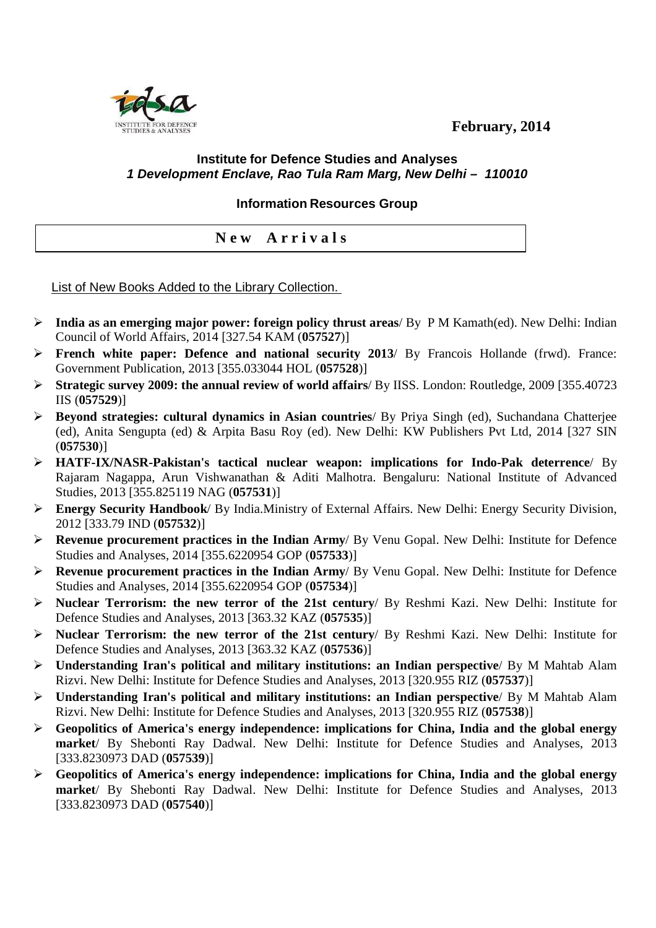**February, 2014** 



## **Institute for Defence Studies and Analyses 1 Development Enclave, Rao Tula Ram Marg, New Delhi – 110010**

**Information Resources Group** 

**N e w A r r i v a l s** 

List of New Books Added to the Library Collection.

- **India as an emerging major power: foreign policy thrust areas**/ By P M Kamath(ed). New Delhi: Indian Council of World Affairs, 2014 [327.54 KAM (**057527**)]
- **French white paper: Defence and national security 2013**/ By Francois Hollande (frwd). France: Government Publication, 2013 [355.033044 HOL (**057528**)]
- **Strategic survey 2009: the annual review of world affairs**/ By IISS. London: Routledge, 2009 [355.40723 IIS (**057529**)]
- **Beyond strategies: cultural dynamics in Asian countries**/ By Priya Singh (ed), Suchandana Chatterjee (ed), Anita Sengupta (ed) & Arpita Basu Roy (ed). New Delhi: KW Publishers Pvt Ltd, 2014 [327 SIN (**057530**)]
- **HATF-IX/NASR-Pakistan's tactical nuclear weapon: implications for Indo-Pak deterrence**/ By Rajaram Nagappa, Arun Vishwanathan & Aditi Malhotra. Bengaluru: National Institute of Advanced Studies, 2013 [355.825119 NAG (**057531**)]
- **Energy Security Handbook**/ By India.Ministry of External Affairs. New Delhi: Energy Security Division, 2012 [333.79 IND (**057532**)]
- **Revenue procurement practices in the Indian Army**/ By Venu Gopal. New Delhi: Institute for Defence Studies and Analyses, 2014 [355.6220954 GOP (**057533**)]
- **Revenue procurement practices in the Indian Army**/ By Venu Gopal. New Delhi: Institute for Defence Studies and Analyses, 2014 [355.6220954 GOP (**057534**)]
- **Nuclear Terrorism: the new terror of the 21st century**/ By Reshmi Kazi. New Delhi: Institute for Defence Studies and Analyses, 2013 [363.32 KAZ (**057535**)]
- **Nuclear Terrorism: the new terror of the 21st century**/ By Reshmi Kazi. New Delhi: Institute for Defence Studies and Analyses, 2013 [363.32 KAZ (**057536**)]
- **Understanding Iran's political and military institutions: an Indian perspective**/ By M Mahtab Alam Rizvi. New Delhi: Institute for Defence Studies and Analyses, 2013 [320.955 RIZ (**057537**)]
- **Understanding Iran's political and military institutions: an Indian perspective**/ By M Mahtab Alam Rizvi. New Delhi: Institute for Defence Studies and Analyses, 2013 [320.955 RIZ (**057538**)]
- **Geopolitics of America's energy independence: implications for China, India and the global energy market**/ By Shebonti Ray Dadwal. New Delhi: Institute for Defence Studies and Analyses, 2013 [333.8230973 DAD (**057539**)]
- **Geopolitics of America's energy independence: implications for China, India and the global energy market**/ By Shebonti Ray Dadwal. New Delhi: Institute for Defence Studies and Analyses, 2013 [333.8230973 DAD (**057540**)]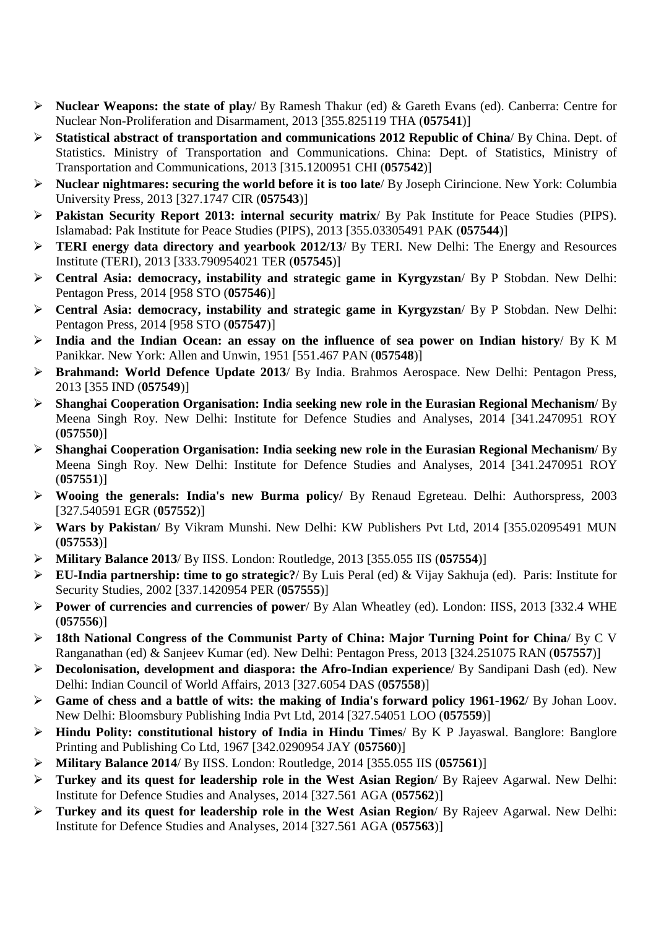- **Nuclear Weapons: the state of play**/ By Ramesh Thakur (ed) & Gareth Evans (ed). Canberra: Centre for Nuclear Non-Proliferation and Disarmament, 2013 [355.825119 THA (**057541**)]
- **Statistical abstract of transportation and communications 2012 Republic of China**/ By China. Dept. of Statistics. Ministry of Transportation and Communications. China: Dept. of Statistics, Ministry of Transportation and Communications, 2013 [315.1200951 CHI (**057542**)]
- **Nuclear nightmares: securing the world before it is too late**/ By Joseph Cirincione. New York: Columbia University Press, 2013 [327.1747 CIR (**057543**)]
- **Pakistan Security Report 2013: internal security matrix**/ By Pak Institute for Peace Studies (PIPS). Islamabad: Pak Institute for Peace Studies (PIPS), 2013 [355.03305491 PAK (**057544**)]
- **TERI energy data directory and yearbook 2012/13**/ By TERI. New Delhi: The Energy and Resources Institute (TERI), 2013 [333.790954021 TER (**057545**)]
- **Central Asia: democracy, instability and strategic game in Kyrgyzstan**/ By P Stobdan. New Delhi: Pentagon Press, 2014 [958 STO (**057546**)]
- **Central Asia: democracy, instability and strategic game in Kyrgyzstan**/ By P Stobdan. New Delhi: Pentagon Press, 2014 [958 STO (**057547**)]
- **India and the Indian Ocean: an essay on the influence of sea power on Indian history**/ By K M Panikkar. New York: Allen and Unwin, 1951 [551.467 PAN (**057548**)]
- **Brahmand: World Defence Update 2013**/ By India. Brahmos Aerospace. New Delhi: Pentagon Press, 2013 [355 IND (**057549**)]
- **Shanghai Cooperation Organisation: India seeking new role in the Eurasian Regional Mechanism**/ By Meena Singh Roy. New Delhi: Institute for Defence Studies and Analyses, 2014 [341.2470951 ROY (**057550**)]
- **Shanghai Cooperation Organisation: India seeking new role in the Eurasian Regional Mechanism**/ By Meena Singh Roy. New Delhi: Institute for Defence Studies and Analyses, 2014 [341.2470951 ROY (**057551**)]
- **Wooing the generals: India's new Burma policy/** By Renaud Egreteau. Delhi: Authorspress, 2003 [327.540591 EGR (**057552**)]
- **Wars by Pakistan**/ By Vikram Munshi. New Delhi: KW Publishers Pvt Ltd, 2014 [355.02095491 MUN (**057553**)]
- **Military Balance 2013**/ By IISS. London: Routledge, 2013 [355.055 IIS (**057554**)]
- **EU-India partnership: time to go strategic?**/ By Luis Peral (ed) & Vijay Sakhuja (ed). Paris: Institute for Security Studies, 2002 [337.1420954 PER (**057555**)]
- **Power of currencies and currencies of power**/ By Alan Wheatley (ed). London: IISS, 2013 [332.4 WHE (**057556**)]
- **18th National Congress of the Communist Party of China: Major Turning Point for China**/ By C V Ranganathan (ed) & Sanjeev Kumar (ed). New Delhi: Pentagon Press, 2013 [324.251075 RAN (**057557**)]
- **Decolonisation, development and diaspora: the Afro-Indian experience**/ By Sandipani Dash (ed). New Delhi: Indian Council of World Affairs, 2013 [327.6054 DAS (**057558**)]
- **Game of chess and a battle of wits: the making of India's forward policy 1961-1962**/ By Johan Loov. New Delhi: Bloomsbury Publishing India Pvt Ltd, 2014 [327.54051 LOO (**057559**)]
- **Hindu Polity: constitutional history of India in Hindu Times**/ By K P Jayaswal. Banglore: Banglore Printing and Publishing Co Ltd, 1967 [342.0290954 JAY (**057560**)]
- **Military Balance 2014**/ By IISS. London: Routledge, 2014 [355.055 IIS (**057561**)]
- **Turkey and its quest for leadership role in the West Asian Region**/ By Rajeev Agarwal. New Delhi: Institute for Defence Studies and Analyses, 2014 [327.561 AGA (**057562**)]
- **Turkey and its quest for leadership role in the West Asian Region**/ By Rajeev Agarwal. New Delhi: Institute for Defence Studies and Analyses, 2014 [327.561 AGA (**057563**)]